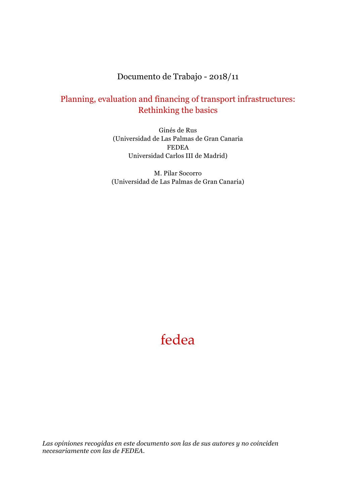Documento de Trabajo - 2018/11

# Planning, evaluation and financing of transport infrastructures: Rethinking the basics

Ginés de Rus (Universidad de Las Palmas de Gran Canaria FEDEA Universidad Carlos III de Madrid)

M. Pilar Socorro (Universidad de Las Palmas de Gran Canaria)

# fedea

*Las opiniones recogidas en este documento son las de sus autores y no coinciden necesariamente con las de FEDEA.*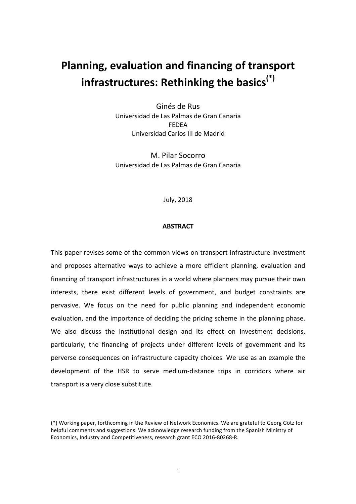# **Planning, evaluation and financing of transport infrastructures: Rethinking the basics**<sup>(\*)</sup>

Ginés de Rus Universidad de Las Palmas de Gran Canaria FEDEA Universidad Carlos III de Madrid

M. Pilar Socorro Universidad de Las Palmas de Gran Canaria

July, 2018

# **ABSTRACT**

This paper revises some of the common views on transport infrastructure investment and proposes alternative ways to achieve a more efficient planning, evaluation and financing of transport infrastructures in a world where planners may pursue their own interests, there exist different levels of government, and budget constraints are pervasive. We focus on the need for public planning and independent economic evaluation, and the importance of deciding the pricing scheme in the planning phase. We also discuss the institutional design and its effect on investment decisions, particularly, the financing of projects under different levels of government and its perverse consequences on infrastructure capacity choices. We use as an example the development of the HSR to serve medium-distance trips in corridors where air transport is a very close substitute.

<sup>(\*)</sup> Working paper, forthcoming in the Review of Network Economics. We are grateful to Georg Götz for helpful comments and suggestions. We acknowledge research funding from the Spanish Ministry of Economics, Industry and Competitiveness, research grant ECO 2016-80268-R.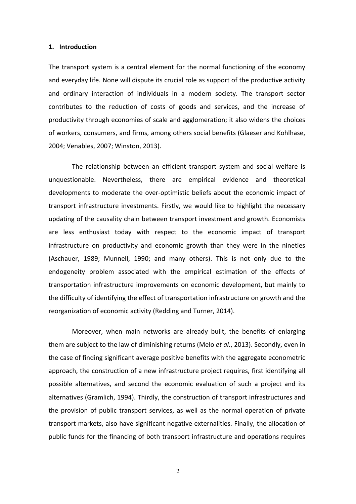#### **1. Introduction**

The transport system is a central element for the normal functioning of the economy and everyday life. None will dispute its crucial role as support of the productive activity and ordinary interaction of individuals in a modern society. The transport sector contributes to the reduction of costs of goods and services, and the increase of productivity through economies of scale and agglomeration; it also widens the choices of workers, consumers, and firms, among others social benefits (Glaeser and Kohlhase, 2004; Venables, 2007; Winston, 2013).

The relationship between an efficient transport system and social welfare is unquestionable. Nevertheless, there are empirical evidence and theoretical developments to moderate the over-optimistic beliefs about the economic impact of transport infrastructure investments. Firstly, we would like to highlight the necessary updating of the causality chain between transport investment and growth. Economists are less enthusiast today with respect to the economic impact of transport infrastructure on productivity and economic growth than they were in the nineties (Aschauer, 1989; Munnell, 1990; and many others). This is not only due to the endogeneity problem associated with the empirical estimation of the effects of transportation infrastructure improvements on economic development, but mainly to the difficulty of identifying the effect of transportation infrastructure on growth and the reorganization of economic activity (Redding and Turner, 2014).

Moreover, when main networks are already built, the benefits of enlarging them are subject to the law of diminishing returns (Melo *et al.*, 2013). Secondly, even in the case of finding significant average positive benefits with the aggregate econometric approach, the construction of a new infrastructure project requires, first identifying all possible alternatives, and second the economic evaluation of such a project and its alternatives (Gramlich, 1994). Thirdly, the construction of transport infrastructures and the provision of public transport services, as well as the normal operation of private transport markets, also have significant negative externalities. Finally, the allocation of public funds for the financing of both transport infrastructure and operations requires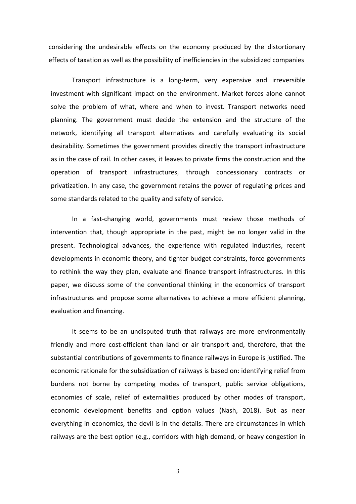considering the undesirable effects on the economy produced by the distortionary effects of taxation as well as the possibility of inefficiencies in the subsidized companies

Transport infrastructure is a long-term, very expensive and irreversible investment with significant impact on the environment. Market forces alone cannot solve the problem of what, where and when to invest. Transport networks need planning. The government must decide the extension and the structure of the network, identifying all transport alternatives and carefully evaluating its social desirability. Sometimes the government provides directly the transport infrastructure as in the case of rail. In other cases, it leaves to private firms the construction and the operation of transport infrastructures, through concessionary contracts or privatization. In any case, the government retains the power of regulating prices and some standards related to the quality and safety of service.

In a fast-changing world, governments must review those methods of intervention that, though appropriate in the past, might be no longer valid in the present. Technological advances, the experience with regulated industries, recent developments in economic theory, and tighter budget constraints, force governments to rethink the way they plan, evaluate and finance transport infrastructures. In this paper, we discuss some of the conventional thinking in the economics of transport infrastructures and propose some alternatives to achieve a more efficient planning, evaluation and financing.

It seems to be an undisputed truth that railways are more environmentally friendly and more cost-efficient than land or air transport and, therefore, that the substantial contributions of governments to finance railways in Europe is justified. The economic rationale for the subsidization of railways is based on: identifying relief from burdens not borne by competing modes of transport, public service obligations, economies of scale, relief of externalities produced by other modes of transport, economic development benefits and option values (Nash, 2018). But as near everything in economics, the devil is in the details. There are circumstances in which railways are the best option (e.g., corridors with high demand, or heavy congestion in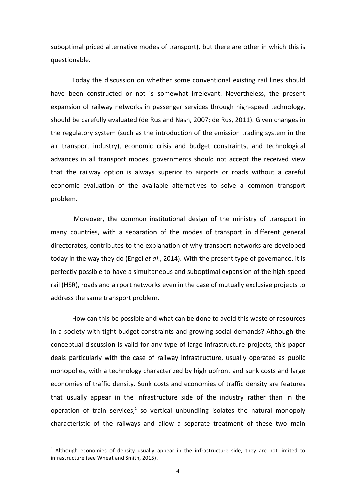suboptimal priced alternative modes of transport), but there are other in which this is questionable.

Today the discussion on whether some conventional existing rail lines should have been constructed or not is somewhat irrelevant. Nevertheless, the present expansion of railway networks in passenger services through high-speed technology, should be carefully evaluated (de Rus and Nash, 2007; de Rus, 2011). Given changes in the regulatory system (such as the introduction of the emission trading system in the air transport industry), economic crisis and budget constraints, and technological advances in all transport modes, governments should not accept the received view that the railway option is always superior to airports or roads without a careful economic evaluation of the available alternatives to solve a common transport problem.

Moreover, the common institutional design of the ministry of transport in many countries, with a separation of the modes of transport in different general directorates, contributes to the explanation of why transport networks are developed today in the way they do (Engel *et al.*, 2014). With the present type of governance, it is perfectly possible to have a simultaneous and suboptimal expansion of the high-speed rail (HSR), roads and airport networks even in the case of mutually exclusive projects to address the same transport problem.

How can this be possible and what can be done to avoid this waste of resources in a society with tight budget constraints and growing social demands? Although the conceptual discussion is valid for any type of large infrastructure projects, this paper deals particularly with the case of railway infrastructure, usually operated as public monopolies, with a technology characterized by high upfront and sunk costs and large economies of traffic density. Sunk costs and economies of traffic density are features that usually appear in the infrastructure side of the industry rather than in the operation of train services, $1$  so vertical unbundling isolates the natural monopoly characteristic of the railways and allow a separate treatment of these two main

<u> 1989 - Jan Samuel Barbara, margaret e</u>

 $1$  Although economies of density usually appear in the infrastructure side, they are not limited to infrastructure (see Wheat and Smith, 2015).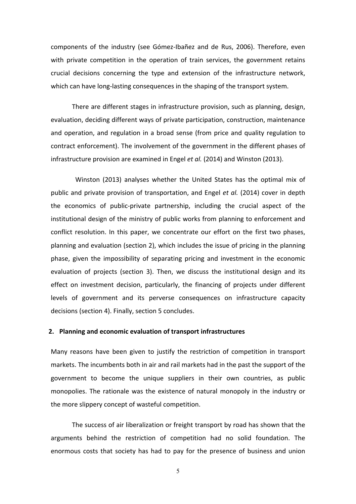components of the industry (see Gómez-Ibañez and de Rus, 2006). Therefore, even with private competition in the operation of train services, the government retains crucial decisions concerning the type and extension of the infrastructure network, which can have long-lasting consequences in the shaping of the transport system.

There are different stages in infrastructure provision, such as planning, design, evaluation, deciding different ways of private participation, construction, maintenance and operation, and regulation in a broad sense (from price and quality regulation to contract enforcement). The involvement of the government in the different phases of infrastructure provision are examined in Engel *et al.* (2014) and Winston (2013).

Winston (2013) analyses whether the United States has the optimal mix of public and private provision of transportation, and Engel *et al.* (2014) cover in depth the economics of public-private partnership, including the crucial aspect of the institutional design of the ministry of public works from planning to enforcement and conflict resolution. In this paper, we concentrate our effort on the first two phases, planning and evaluation (section 2), which includes the issue of pricing in the planning phase, given the impossibility of separating pricing and investment in the economic evaluation of projects (section 3). Then, we discuss the institutional design and its effect on investment decision, particularly, the financing of projects under different levels of government and its perverse consequences on infrastructure capacity decisions (section 4). Finally, section 5 concludes.

# 2. Planning and economic evaluation of transport infrastructures

Many reasons have been given to justify the restriction of competition in transport markets. The incumbents both in air and rail markets had in the past the support of the government to become the unique suppliers in their own countries, as public monopolies. The rationale was the existence of natural monopoly in the industry or the more slippery concept of wasteful competition.

The success of air liberalization or freight transport by road has shown that the arguments behind the restriction of competition had no solid foundation. The enormous costs that society has had to pay for the presence of business and union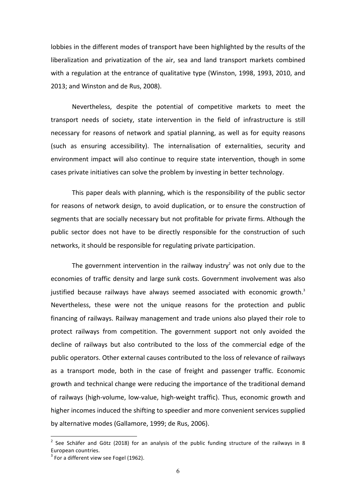lobbies in the different modes of transport have been highlighted by the results of the liberalization and privatization of the air, sea and land transport markets combined with a regulation at the entrance of qualitative type (Winston, 1998, 1993, 2010, and 2013; and Winston and de Rus, 2008).

Nevertheless, despite the potential of competitive markets to meet the transport needs of society, state intervention in the field of infrastructure is still necessary for reasons of network and spatial planning, as well as for equity reasons (such as ensuring accessibility). The internalisation of externalities, security and environment impact will also continue to require state intervention, though in some cases private initiatives can solve the problem by investing in better technology.

This paper deals with planning, which is the responsibility of the public sector for reasons of network design, to avoid duplication, or to ensure the construction of segments that are socially necessary but not profitable for private firms. Although the public sector does not have to be directly responsible for the construction of such networks, it should be responsible for regulating private participation.

The government intervention in the railway industry<sup>2</sup> was not only due to the economies of traffic density and large sunk costs. Government involvement was also justified because railways have always seemed associated with economic growth.<sup>3</sup> Nevertheless, these were not the unique reasons for the protection and public financing of railways. Railway management and trade unions also played their role to protect railways from competition. The government support not only avoided the decline of railways but also contributed to the loss of the commercial edge of the public operators. Other external causes contributed to the loss of relevance of railways as a transport mode, both in the case of freight and passenger traffic. Economic growth and technical change were reducing the importance of the traditional demand of railways (high-volume, low-value, high-weight traffic). Thus, economic growth and higher incomes induced the shifting to speedier and more convenient services supplied by alternative modes (Gallamore, 1999; de Rus, 2006).

<u> 1989 - Jan Samuel Barbara, margaret e</u>

 $2$  See Schäfer and Götz (2018) for an analysis of the public funding structure of the railways in 8 European countries.

 $3$  For a different view see Fogel (1962).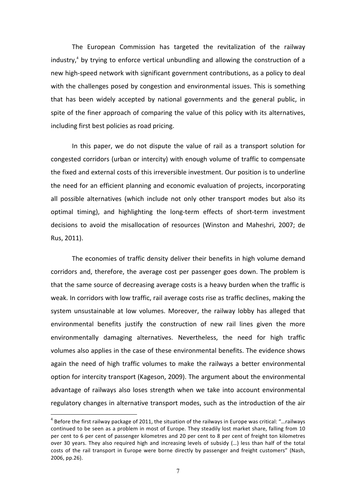The European Commission has targeted the revitalization of the railway industry, $4$  by trying to enforce vertical unbundling and allowing the construction of a new high-speed network with significant government contributions, as a policy to deal with the challenges posed by congestion and environmental issues. This is something that has been widely accepted by national governments and the general public, in spite of the finer approach of comparing the value of this policy with its alternatives, including first best policies as road pricing.

In this paper, we do not dispute the value of rail as a transport solution for congested corridors (urban or intercity) with enough volume of traffic to compensate the fixed and external costs of this irreversible investment. Our position is to underline the need for an efficient planning and economic evaluation of projects, incorporating all possible alternatives (which include not only other transport modes but also its optimal timing), and highlighting the long-term effects of short-term investment decisions to avoid the misallocation of resources (Winston and Maheshri, 2007; de Rus, 2011).

The economies of traffic density deliver their benefits in high volume demand corridors and, therefore, the average cost per passenger goes down. The problem is that the same source of decreasing average costs is a heavy burden when the traffic is weak. In corridors with low traffic, rail average costs rise as traffic declines, making the system unsustainable at low volumes. Moreover, the railway lobby has alleged that environmental benefits justify the construction of new rail lines given the more environmentally damaging alternatives. Nevertheless, the need for high traffic volumes also applies in the case of these environmental benefits. The evidence shows again the need of high traffic volumes to make the railways a better environmental option for intercity transport (Kageson, 2009). The argument about the environmental advantage of railways also loses strength when we take into account environmental regulatory changes in alternative transport modes, such as the introduction of the air

<u> 1989 - Jan Samuel Barbara, margaret e</u>

 $4$  Before the first railway package of 2011, the situation of the railways in Europe was critical: "...railways continued to be seen as a problem in most of Europe. They steadily lost market share, falling from 10 per cent to 6 per cent of passenger kilometres and 20 per cent to 8 per cent of freight ton kilometres over 30 years. They also required high and increasing levels of subsidy  $(...)$  less than half of the total costs of the rail transport in Europe were borne directly by passenger and freight customers" (Nash, 2006, pp.26).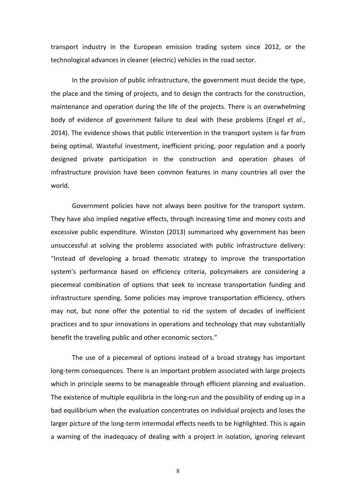transport industry in the European emission trading system since 2012, or the technological advances in cleaner (electric) vehicles in the road sector.

In the provision of public infrastructure, the government must decide the type, the place and the timing of projects, and to design the contracts for the construction, maintenance and operation during the life of the projects. There is an overwhelming body of evidence of government failure to deal with these problems (Engel *et al.*, 2014). The evidence shows that public intervention in the transport system is far from being optimal. Wasteful investment, inefficient pricing, poor regulation and a poorly designed private participation in the construction and operation phases of infrastructure provision have been common features in many countries all over the world. 

Government policies have not always been positive for the transport system. They have also implied negative effects, through increasing time and money costs and excessive public expenditure. Winston (2013) summarized why government has been unsuccessful at solving the problems associated with public infrastructure delivery: "Instead of developing a broad thematic strategy to improve the transportation system's performance based on efficiency criteria, policymakers are considering a piecemeal combination of options that seek to increase transportation funding and infrastructure spending. Some policies may improve transportation efficiency, others may not, but none offer the potential to rid the system of decades of inefficient practices and to spur innovations in operations and technology that may substantially benefit the traveling public and other economic sectors."

The use of a piecemeal of options instead of a broad strategy has important long-term consequences. There is an important problem associated with large projects which in principle seems to be manageable through efficient planning and evaluation. The existence of multiple equilibria in the long-run and the possibility of ending up in a bad equilibrium when the evaluation concentrates on individual projects and loses the larger picture of the long-term intermodal effects needs to be highlighted. This is again a warning of the inadequacy of dealing with a project in isolation, ignoring relevant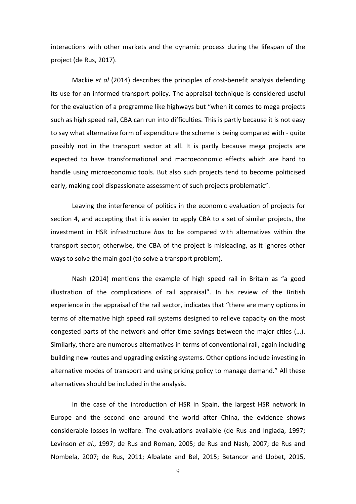interactions with other markets and the dynamic process during the lifespan of the project (de Rus, 2017).

Mackie *et al* (2014) describes the principles of cost-benefit analysis defending its use for an informed transport policy. The appraisal technique is considered useful for the evaluation of a programme like highways but "when it comes to mega projects such as high speed rail, CBA can run into difficulties. This is partly because it is not easy to say what alternative form of expenditure the scheme is being compared with - quite possibly not in the transport sector at all. It is partly because mega projects are expected to have transformational and macroeconomic effects which are hard to handle using microeconomic tools. But also such projects tend to become politicised early, making cool dispassionate assessment of such projects problematic".

Leaving the interference of politics in the economic evaluation of projects for section 4, and accepting that it is easier to apply CBA to a set of similar projects, the investment in HSR infrastructure *has* to be compared with alternatives within the transport sector; otherwise, the CBA of the project is misleading, as it ignores other ways to solve the main goal (to solve a transport problem).

Nash (2014) mentions the example of high speed rail in Britain as "a good illustration of the complications of rail appraisal". In his review of the British experience in the appraisal of the rail sector, indicates that "there are many options in terms of alternative high speed rail systems designed to relieve capacity on the most congested parts of the network and offer time savings between the major cities  $(...)$ . Similarly, there are numerous alternatives in terms of conventional rail, again including building new routes and upgrading existing systems. Other options include investing in alternative modes of transport and using pricing policy to manage demand." All these alternatives should be included in the analysis.

In the case of the introduction of HSR in Spain, the largest HSR network in Europe and the second one around the world after China, the evidence shows considerable losses in welfare. The evaluations available (de Rus and Inglada, 1997; Levinson et al., 1997; de Rus and Roman, 2005; de Rus and Nash, 2007; de Rus and Nombela, 2007; de Rus, 2011; Albalate and Bel, 2015; Betancor and Llobet, 2015,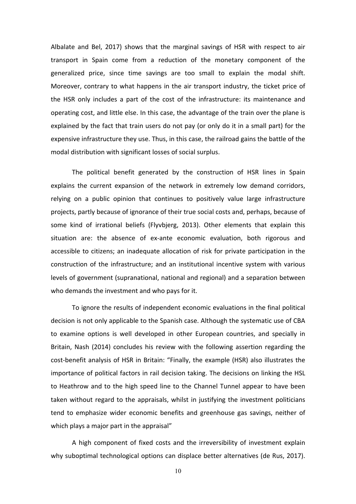Albalate and Bel, 2017) shows that the marginal savings of HSR with respect to air transport in Spain come from a reduction of the monetary component of the generalized price, since time savings are too small to explain the modal shift. Moreover, contrary to what happens in the air transport industry, the ticket price of the HSR only includes a part of the cost of the infrastructure: its maintenance and operating cost, and little else. In this case, the advantage of the train over the plane is explained by the fact that train users do not pay (or only do it in a small part) for the expensive infrastructure they use. Thus, in this case, the railroad gains the battle of the modal distribution with significant losses of social surplus.

The political benefit generated by the construction of HSR lines in Spain explains the current expansion of the network in extremely low demand corridors, relying on a public opinion that continues to positively value large infrastructure projects, partly because of ignorance of their true social costs and, perhaps, because of some kind of irrational beliefs (Flyvbjerg, 2013). Other elements that explain this situation are: the absence of ex-ante economic evaluation, both rigorous and accessible to citizens; an inadequate allocation of risk for private participation in the construction of the infrastructure; and an institutional incentive system with various levels of government (supranational, national and regional) and a separation between who demands the investment and who pays for it.

To ignore the results of independent economic evaluations in the final political decision is not only applicable to the Spanish case. Although the systematic use of CBA to examine options is well developed in other European countries, and specially in Britain, Nash (2014) concludes his review with the following assertion regarding the cost-benefit analysis of HSR in Britain: "Finally, the example (HSR) also illustrates the importance of political factors in rail decision taking. The decisions on linking the HSL to Heathrow and to the high speed line to the Channel Tunnel appear to have been taken without regard to the appraisals, whilst in justifying the investment politicians tend to emphasize wider economic benefits and greenhouse gas savings, neither of which plays a major part in the appraisal"

A high component of fixed costs and the irreversibility of investment explain why suboptimal technological options can displace better alternatives (de Rus, 2017).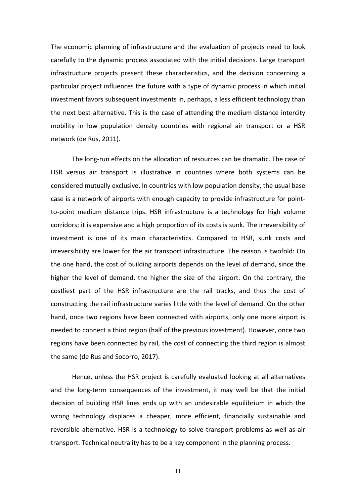The economic planning of infrastructure and the evaluation of projects need to look carefully to the dynamic process associated with the initial decisions. Large transport infrastructure projects present these characteristics, and the decision concerning a particular project influences the future with a type of dynamic process in which initial investment favors subsequent investments in, perhaps, a less efficient technology than the next best alternative. This is the case of attending the medium distance intercity mobility in low population density countries with regional air transport or a HSR network (de Rus, 2011).

The long-run effects on the allocation of resources can be dramatic. The case of HSR versus air transport is illustrative in countries where both systems can be considered mutually exclusive. In countries with low population density, the usual base case is a network of airports with enough capacity to provide infrastructure for pointto-point medium distance trips. HSR infrastructure is a technology for high volume corridors; it is expensive and a high proportion of its costs is sunk. The irreversibility of investment is one of its main characteristics. Compared to HSR, sunk costs and irreversibility are lower for the air transport infrastructure. The reason is twofold: On the one hand, the cost of building airports depends on the level of demand, since the higher the level of demand, the higher the size of the airport. On the contrary, the costliest part of the HSR infrastructure are the rail tracks, and thus the cost of constructing the rail infrastructure varies little with the level of demand. On the other hand, once two regions have been connected with airports, only one more airport is needed to connect a third region (half of the previous investment). However, once two regions have been connected by rail, the cost of connecting the third region is almost the same (de Rus and Socorro, 2017).

Hence, unless the HSR project is carefully evaluated looking at all alternatives and the long-term consequences of the investment, it may well be that the initial decision of building HSR lines ends up with an undesirable equilibrium in which the wrong technology displaces a cheaper, more efficient, financially sustainable and reversible alternative. HSR is a technology to solve transport problems as well as air transport. Technical neutrality has to be a key component in the planning process.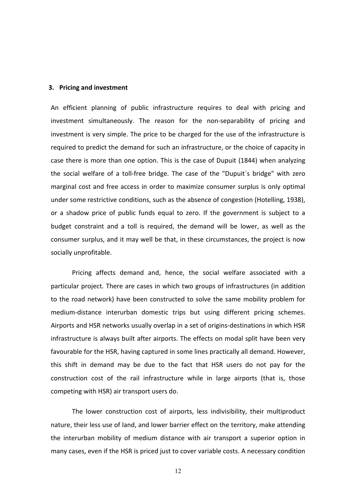#### **3. Pricing and investment**

An efficient planning of public infrastructure requires to deal with pricing and investment simultaneously. The reason for the non-separability of pricing and investment is very simple. The price to be charged for the use of the infrastructure is required to predict the demand for such an infrastructure, or the choice of capacity in case there is more than one option. This is the case of Dupuit (1844) when analyzing the social welfare of a toll-free bridge. The case of the "Dupuit's bridge" with zero marginal cost and free access in order to maximize consumer surplus is only optimal under some restrictive conditions, such as the absence of congestion (Hotelling, 1938), or a shadow price of public funds equal to zero. If the government is subject to a budget constraint and a toll is required, the demand will be lower, as well as the consumer surplus, and it may well be that, in these circumstances, the project is now socially unprofitable.

Pricing affects demand and, hence, the social welfare associated with a particular project. There are cases in which two groups of infrastructures (in addition to the road network) have been constructed to solve the same mobility problem for medium-distance interurban domestic trips but using different pricing schemes. Airports and HSR networks usually overlap in a set of origins-destinations in which HSR infrastructure is always built after airports. The effects on modal split have been very favourable for the HSR, having captured in some lines practically all demand. However, this shift in demand may be due to the fact that HSR users do not pay for the construction cost of the rail infrastructure while in large airports (that is, those competing with HSR) air transport users do.

The lower construction cost of airports, less indivisibility, their multiproduct nature, their less use of land, and lower barrier effect on the territory, make attending the interurban mobility of medium distance with air transport a superior option in many cases, even if the HSR is priced just to cover variable costs. A necessary condition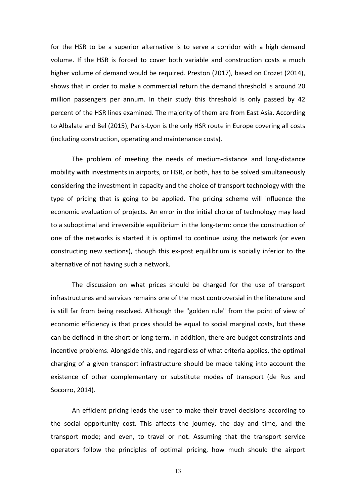for the HSR to be a superior alternative is to serve a corridor with a high demand volume. If the HSR is forced to cover both variable and construction costs a much higher volume of demand would be required. Preston (2017), based on Crozet (2014), shows that in order to make a commercial return the demand threshold is around 20 million passengers per annum. In their study this threshold is only passed by 42 percent of the HSR lines examined. The majority of them are from East Asia. According to Albalate and Bel (2015), Paris-Lyon is the only HSR route in Europe covering all costs (including construction, operating and maintenance costs).

The problem of meeting the needs of medium-distance and long-distance mobility with investments in airports, or HSR, or both, has to be solved simultaneously considering the investment in capacity and the choice of transport technology with the type of pricing that is going to be applied. The pricing scheme will influence the economic evaluation of projects. An error in the initial choice of technology may lead to a suboptimal and irreversible equilibrium in the long-term: once the construction of one of the networks is started it is optimal to continue using the network (or even constructing new sections), though this ex-post equilibrium is socially inferior to the alternative of not having such a network.

The discussion on what prices should be charged for the use of transport infrastructures and services remains one of the most controversial in the literature and is still far from being resolved. Although the "golden rule" from the point of view of economic efficiency is that prices should be equal to social marginal costs, but these can be defined in the short or long-term. In addition, there are budget constraints and incentive problems. Alongside this, and regardless of what criteria applies, the optimal charging of a given transport infrastructure should be made taking into account the existence of other complementary or substitute modes of transport (de Rus and Socorro, 2014).

An efficient pricing leads the user to make their travel decisions according to the social opportunity cost. This affects the journey, the day and time, and the transport mode; and even, to travel or not. Assuming that the transport service operators follow the principles of optimal pricing, how much should the airport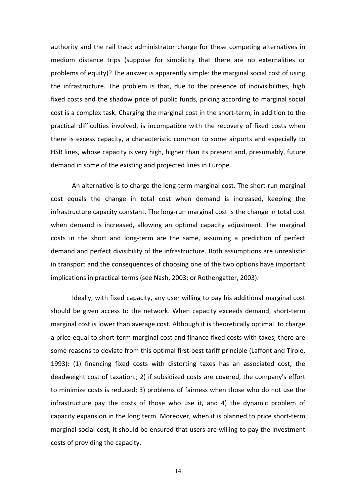authority and the rail track administrator charge for these competing alternatives in medium distance trips (suppose for simplicity that there are no externalities or problems of equity)? The answer is apparently simple: the marginal social cost of using the infrastructure. The problem is that, due to the presence of indivisibilities, high fixed costs and the shadow price of public funds, pricing according to marginal social cost is a complex task. Charging the marginal cost in the short-term, in addition to the practical difficulties involved, is incompatible with the recovery of fixed costs when there is excess capacity, a characteristic common to some airports and especially to HSR lines, whose capacity is very high, higher than its present and, presumably, future demand in some of the existing and projected lines in Europe.

An alternative is to charge the long-term marginal cost. The short-run marginal cost equals the change in total cost when demand is increased, keeping the infrastructure capacity constant. The long-run marginal cost is the change in total cost when demand is increased, allowing an optimal capacity adjustment. The marginal costs in the short and long-term are the same, assuming a prediction of perfect demand and perfect divisibility of the infrastructure. Both assumptions are unrealistic in transport and the consequences of choosing one of the two options have important implications in practical terms (see Nash, 2003; or Rothengatter, 2003).

Ideally, with fixed capacity, any user willing to pay his additional marginal cost should be given access to the network. When capacity exceeds demand, short-term marginal cost is lower than average cost. Although it is theoretically optimal to charge a price equal to short-term marginal cost and finance fixed costs with taxes, there are some reasons to deviate from this optimal first-best tariff principle (Laffont and Tirole, 1993): (1) financing fixed costs with distorting taxes has an associated cost, the deadweight cost of taxation.; 2) if subsidized costs are covered, the company's effort to minimize costs is reduced; 3) problems of fairness when those who do not use the infrastructure pay the costs of those who use it, and 4) the dynamic problem of capacity expansion in the long term. Moreover, when it is planned to price short-term marginal social cost, it should be ensured that users are willing to pay the investment costs of providing the capacity.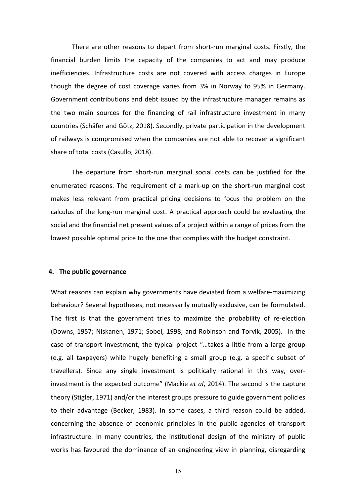There are other reasons to depart from short-run marginal costs. Firstly, the financial burden limits the capacity of the companies to act and may produce inefficiencies. Infrastructure costs are not covered with access charges in Europe though the degree of cost coverage varies from 3% in Norway to 95% in Germany. Government contributions and debt issued by the infrastructure manager remains as the two main sources for the financing of rail infrastructure investment in many countries (Schäfer and Götz, 2018). Secondly, private participation in the development of railways is compromised when the companies are not able to recover a significant share of total costs (Casullo, 2018).

The departure from short-run marginal social costs can be justified for the enumerated reasons. The requirement of a mark-up on the short-run marginal cost makes less relevant from practical pricing decisions to focus the problem on the calculus of the long-run marginal cost. A practical approach could be evaluating the social and the financial net present values of a project within a range of prices from the lowest possible optimal price to the one that complies with the budget constraint.

# **4.** The public governance

What reasons can explain why governments have deviated from a welfare-maximizing behaviour? Several hypotheses, not necessarily mutually exclusive, can be formulated. The first is that the government tries to maximize the probability of re-election (Downs, 1957; Niskanen, 1971; Sobel, 1998; and Robinson and Torvik, 2005). In the case of transport investment, the typical project "...takes a little from a large group (e.g. all taxpayers) while hugely benefiting a small group (e.g. a specific subset of travellers). Since any single investment is politically rational in this way, overinvestment is the expected outcome" (Mackie et al, 2014). The second is the capture theory (Stigler, 1971) and/or the interest groups pressure to guide government policies to their advantage (Becker, 1983). In some cases, a third reason could be added, concerning the absence of economic principles in the public agencies of transport infrastructure. In many countries, the institutional design of the ministry of public works has favoured the dominance of an engineering view in planning, disregarding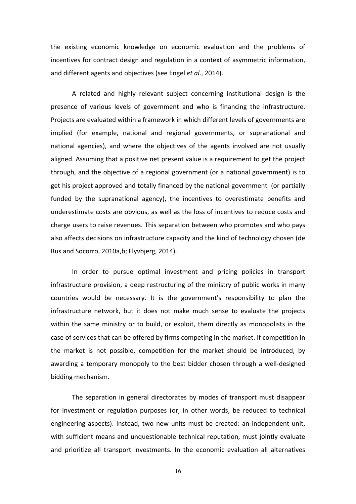the existing economic knowledge on economic evaluation and the problems of incentives for contract design and regulation in a context of asymmetric information, and different agents and objectives (see Engel *et al.*, 2014).

A related and highly relevant subject concerning institutional design is the presence of various levels of government and who is financing the infrastructure. Projects are evaluated within a framework in which different levels of governments are implied (for example, national and regional governments, or supranational and national agencies), and where the objectives of the agents involved are not usually aligned. Assuming that a positive net present value is a requirement to get the project through, and the objective of a regional government (or a national government) is to get his project approved and totally financed by the national government (or partially funded by the supranational agency), the incentives to overestimate benefits and underestimate costs are obvious, as well as the loss of incentives to reduce costs and charge users to raise revenues. This separation between who promotes and who pays also affects decisions on infrastructure capacity and the kind of technology chosen (de Rus and Socorro, 2010a,b; Flyvbjerg, 2014).

In order to pursue optimal investment and pricing policies in transport infrastructure provision, a deep restructuring of the ministry of public works in many countries would be necessary. It is the government's responsibility to plan the infrastructure network, but it does not make much sense to evaluate the projects within the same ministry or to build, or exploit, them directly as monopolists in the case of services that can be offered by firms competing in the market. If competition in the market is not possible, competition for the market should be introduced, by awarding a temporary monopoly to the best bidder chosen through a well-designed bidding mechanism.

The separation in general directorates by modes of transport must disappear for investment or regulation purposes (or, in other words, be reduced to technical engineering aspects). Instead, two new units must be created: an independent unit, with sufficient means and unquestionable technical reputation, must jointly evaluate and prioritize all transport investments. In the economic evaluation all alternatives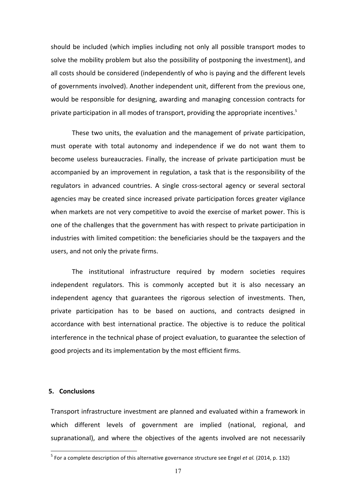should be included (which implies including not only all possible transport modes to solve the mobility problem but also the possibility of postponing the investment), and all costs should be considered (independently of who is paying and the different levels of governments involved). Another independent unit, different from the previous one, would be responsible for designing, awarding and managing concession contracts for private participation in all modes of transport, providing the appropriate incentives.<sup>5</sup>

These two units, the evaluation and the management of private participation, must operate with total autonomy and independence if we do not want them to become useless bureaucracies. Finally, the increase of private participation must be accompanied by an improvement in regulation, a task that is the responsibility of the regulators in advanced countries. A single cross-sectoral agency or several sectoral agencies may be created since increased private participation forces greater vigilance when markets are not very competitive to avoid the exercise of market power. This is one of the challenges that the government has with respect to private participation in industries with limited competition: the beneficiaries should be the taxpayers and the users, and not only the private firms.

The institutional infrastructure required by modern societies requires independent regulators. This is commonly accepted but it is also necessary an independent agency that guarantees the rigorous selection of investments. Then, private participation has to be based on auctions, and contracts designed in accordance with best international practice. The objective is to reduce the political interference in the technical phase of project evaluation, to guarantee the selection of good projects and its implementation by the most efficient firms.

# **5. Conclusions**

<u> 1989 - Jan Samuel Barbara, margaret e</u>

Transport infrastructure investment are planned and evaluated within a framework in which different levels of government are implied (national, regional, and supranational), and where the objectives of the agents involved are not necessarily

 $^5$  For a complete description of this alternative governance structure see Engel *et al.* (2014, p. 132)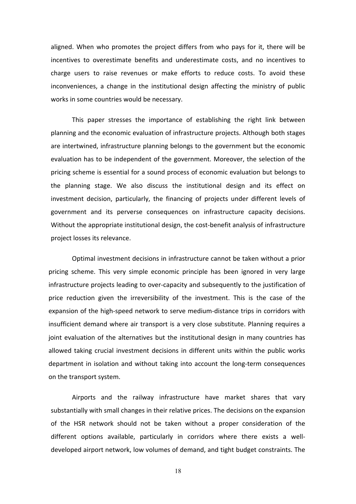aligned. When who promotes the project differs from who pays for it, there will be incentives to overestimate benefits and underestimate costs, and no incentives to charge users to raise revenues or make efforts to reduce costs. To avoid these inconveniences, a change in the institutional design affecting the ministry of public works in some countries would be necessary.

This paper stresses the importance of establishing the right link between planning and the economic evaluation of infrastructure projects. Although both stages are intertwined, infrastructure planning belongs to the government but the economic evaluation has to be independent of the government. Moreover, the selection of the pricing scheme is essential for a sound process of economic evaluation but belongs to the planning stage. We also discuss the institutional design and its effect on investment decision, particularly, the financing of projects under different levels of government and its perverse consequences on infrastructure capacity decisions. Without the appropriate institutional design, the cost-benefit analysis of infrastructure project losses its relevance.

Optimal investment decisions in infrastructure cannot be taken without a prior pricing scheme. This very simple economic principle has been ignored in very large infrastructure projects leading to over-capacity and subsequently to the justification of price reduction given the irreversibility of the investment. This is the case of the expansion of the high-speed network to serve medium-distance trips in corridors with insufficient demand where air transport is a very close substitute. Planning requires a joint evaluation of the alternatives but the institutional design in many countries has allowed taking crucial investment decisions in different units within the public works department in isolation and without taking into account the long-term consequences on the transport system.

Airports and the railway infrastructure have market shares that vary substantially with small changes in their relative prices. The decisions on the expansion of the HSR network should not be taken without a proper consideration of the different options available, particularly in corridors where there exists a welldeveloped airport network, low volumes of demand, and tight budget constraints. The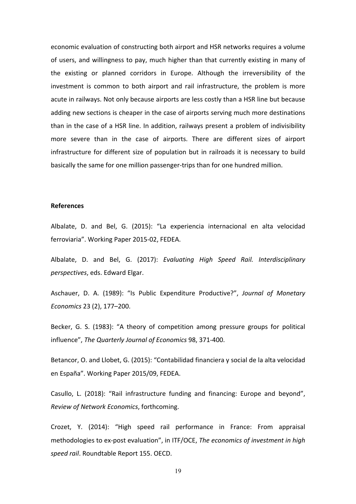economic evaluation of constructing both airport and HSR networks requires a volume of users, and willingness to pay, much higher than that currently existing in many of the existing or planned corridors in Europe. Although the irreversibility of the investment is common to both airport and rail infrastructure, the problem is more acute in railways. Not only because airports are less costly than a HSR line but because adding new sections is cheaper in the case of airports serving much more destinations than in the case of a HSR line. In addition, railways present a problem of indivisibility more severe than in the case of airports. There are different sizes of airport infrastructure for different size of population but in railroads it is necessary to build basically the same for one million passenger-trips than for one hundred million.

# **References**

Albalate, D. and Bel, G. (2015): "La experiencia internacional en alta velocidad ferroviaria". Working Paper 2015-02, FEDEA.

Albalate, D. and Bel, G. (2017): *Evaluating High Speed Rail. Interdisciplinary perspectives*, eds. Edward Elgar.

Aschauer, D. A. (1989): "Is Public Expenditure Productive?", *Journal of Monetary Economics* 23 (2), 177–200.

Becker, G. S. (1983): "A theory of competition among pressure groups for political influence", The Quarterly Journal of Economics 98, 371-400.

Betancor, O. and Llobet, G. (2015): "Contabilidad financiera y social de la alta velocidad en España". Working Paper 2015/09, FEDEA.

Casullo, L. (2018): "Rail infrastructure funding and financing: Europe and beyond", *Review of Network Economics*, forthcoming. 

Crozet, Y. (2014): "High speed rail performance in France: From appraisal methodologies to ex-post evaluation", in ITF/OCE, *The economics of investment in high* speed rail. Roundtable Report 155. OECD.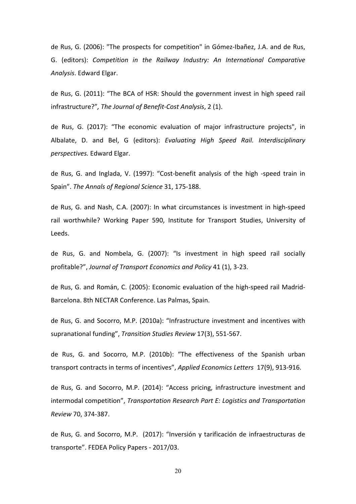de Rus, G. (2006): "The prospects for competition" in Gómez-Ibañez, J.A. and de Rus, G. (editors): *Competition in the Railway Industry: An International Comparative Analysis*. Edward Elgar.

de Rus, G. (2011): "The BCA of HSR: Should the government invest in high speed rail infrastructure?", The Journal of Benefit-Cost Analysis, 2 (1).

de Rus, G. (2017): "The economic evaluation of major infrastructure projects", in Albalate, D. and Bel, G (editors): *Evaluating High Speed Rail. Interdisciplinary perspectives.* Edward Elgar.

de Rus, G. and Inglada, V. (1997): "Cost-benefit analysis of the high -speed train in Spain". The Annals of Regional Science 31, 175-188.

de Rus, G. and Nash, C.A. (2007): In what circumstances is investment in high-speed rail worthwhile? Working Paper 590, Institute for Transport Studies, University of Leeds.

de Rus, G. and Nombela, G. (2007): "Is investment in high speed rail socially profitable?", *Journal of Transport Economics and Policy* 41 (1), 3-23.

de Rus, G. and Román, C. (2005): Economic evaluation of the high-speed rail Madrid-Barcelona. 8th NECTAR Conference. Las Palmas. Spain.

de Rus, G. and Socorro, M.P. (2010a): "Infrastructure investment and incentives with supranational funding", *Transition Studies Review* 17(3), 551-567.

de Rus, G. and Socorro, M.P. (2010b): "The effectiveness of the Spanish urban transport contracts in terms of incentives", *Applied Economics Letters* 17(9), 913-916.

de Rus, G. and Socorro, M.P. (2014): "Access pricing, infrastructure investment and intermodal competition", *Transportation Research Part E: Logistics and Transportation Review* 70, 374-387.

de Rus, G. and Socorro, M.P. (2017): "Inversión y tarificación de infraestructuras de transporte". FEDEA Policy Papers - 2017/03.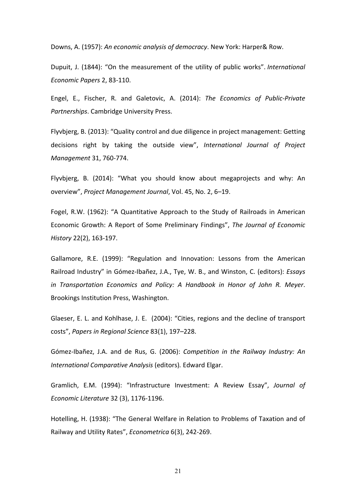Downs, A. (1957): An economic analysis of democracy. New York: Harper& Row.

Dupuit, J. (1844): "On the measurement of the utility of public works". *International Economic Papers* 2, 83-110.

Engel, E., Fischer, R. and Galetovic, A. (2014): *The Economics of Public-Private* Partnerships. Cambridge University Press.

Flyvbjerg, B. (2013): "Quality control and due diligence in project management: Getting decisions right by taking the outside view", International Journal of Project *Management* 31, 760-774.

Flyvbjerg, B. (2014): "What you should know about megaprojects and why: An overview", Project Management Journal, Vol. 45, No. 2, 6-19.

Fogel, R.W. (1962): "A Quantitative Approach to the Study of Railroads in American Economic Growth: A Report of Some Preliminary Findings", The Journal of Economic *History* 22(2), 163-197.

Gallamore, R.E. (1999): "Regulation and Innovation: Lessons from the American Railroad Industry" in Gómez-Ibañez, J.A., Tye, W. B., and Winston, C. (editors): *Essays in* Transportation Economics and Policy: A Handbook in Honor of John R. Meyer. Brookings Institution Press, Washington.

Glaeser, E. L. and Kohlhase, J. E. (2004): "Cities, regions and the decline of transport costs", Papers in Regional Science 83(1), 197-228.

Gómez-Ibañez, J.A. and de Rus, G. (2006): *Competition in the Railway Industry: An International Comparative Analysis (editors). Edward Elgar.* 

Gramlich, E.M. (1994): "Infrastructure Investment: A Review Essay", *Journal of Economic Literature* 32 (3), 1176-1196.

Hotelling, H. (1938): "The General Welfare in Relation to Problems of Taxation and of Railway and Utility Rates", *Econometrica* 6(3), 242-269.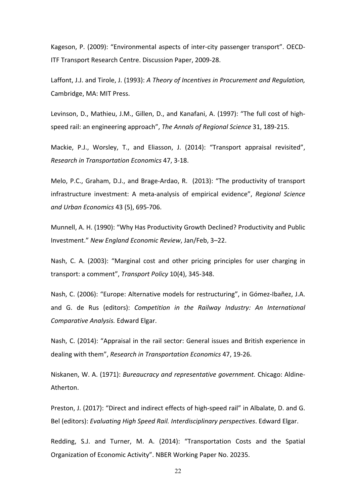Kageson, P. (2009): "Environmental aspects of inter-city passenger transport". OECD-ITF Transport Research Centre. Discussion Paper, 2009-28.

Laffont, J.J. and Tirole, J. (1993): *A Theory of Incentives in Procurement and Regulation*, Cambridge, MA: MIT Press.

Levinson, D., Mathieu, J.M., Gillen, D., and Kanafani, A. (1997): "The full cost of highspeed rail: an engineering approach", *The Annals of Regional Science* 31, 189-215.

Mackie, P.J., Worsley, T., and Eliasson, J. (2014): "Transport appraisal revisited", *Research in Transportation Economics* 47, 3-18.

Melo, P.C., Graham, D.J., and Brage-Ardao, R. (2013): "The productivity of transport infrastructure investment: A meta-analysis of empirical evidence", *Regional Science and Urban Economics* 43 (5), 695-706.

Munnell, A. H. (1990): "Why Has Productivity Growth Declined? Productivity and Public Investment." *New England Economic Review*, Jan/Feb, 3–22.

Nash, C. A. (2003): "Marginal cost and other pricing principles for user charging in transport: a comment", *Transport Policy* 10(4), 345-348.

Nash, C. (2006): "Europe: Alternative models for restructuring", in Gómez-Ibañez, J.A. and G. de Rus (editors): *Competition in the Railway Industry: An International Comparative Analysis.* Edward Elgar.

Nash, C. (2014): "Appraisal in the rail sector: General issues and British experience in dealing with them", *Research in Transportation Economics* 47, 19-26.

Niskanen, W. A. (1971): *Bureaucracy and representative government*. Chicago: Aldine-Atherton.

Preston, J. (2017): "Direct and indirect effects of high-speed rail" in Albalate, D. and G. Bel (editors): *Evaluating High Speed Rail. Interdisciplinary perspectives*. Edward Elgar.

Redding, S.J. and Turner, M. A. (2014): "Transportation Costs and the Spatial Organization of Economic Activity". NBER Working Paper No. 20235.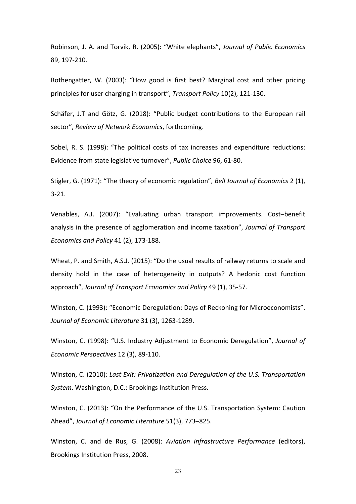Robinson, J. A. and Torvik, R. (2005): "White elephants", Journal of Public Economics 89, 197-210.

Rothengatter, W. (2003): "How good is first best? Marginal cost and other pricing principles for user charging in transport", *Transport Policy* 10(2), 121-130.

Schäfer, J.T and Götz, G. (2018): "Public budget contributions to the European rail sector", *Review of Network Economics*, forthcoming.

Sobel, R. S. (1998): "The political costs of tax increases and expenditure reductions: Evidence from state legislative turnover", *Public Choice* 96, 61-80.

Stigler, G. (1971): "The theory of economic regulation", *Bell Journal of Economics* 2 (1), 3-21.

Venables, A.J. (2007): "Evaluating urban transport improvements. Cost-benefit analysis in the presence of agglomeration and income taxation", *Journal of Transport Economics and Policy* 41 (2), 173-188.

Wheat, P. and Smith, A.S.J. (2015): "Do the usual results of railway returns to scale and density hold in the case of heterogeneity in outputs? A hedonic cost function approach", Journal of Transport Economics and Policy 49 (1), 35-57.

Winston, C. (1993): "Economic Deregulation: Days of Reckoning for Microeconomists". Journal of Economic Literature 31 (3), 1263-1289.

Winston, C. (1998): "U.S. Industry Adjustment to Economic Deregulation", *Journal of Economic Perspectives* 12 (3), 89-110.

Winston, C. (2010): *Last Exit: Privatization and Deregulation of the U.S. Transportation* **System.** Washington, D.C.: Brookings Institution Press.

Winston, C. (2013): "On the Performance of the U.S. Transportation System: Caution Ahead", *Journal of Economic Literature* 51(3), 773-825.

Winston, C. and de Rus, G. (2008): Aviation Infrastructure Performance (editors), Brookings Institution Press, 2008.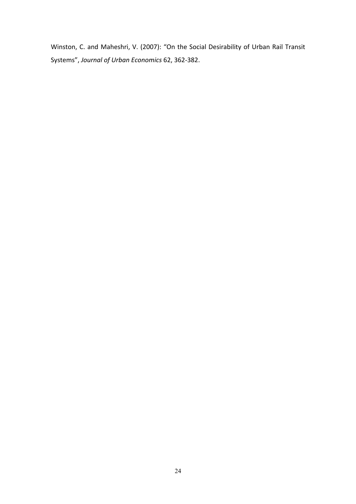Winston, C. and Maheshri, V. (2007): "On the Social Desirability of Urban Rail Transit Systems", Journal of Urban Economics 62, 362-382.